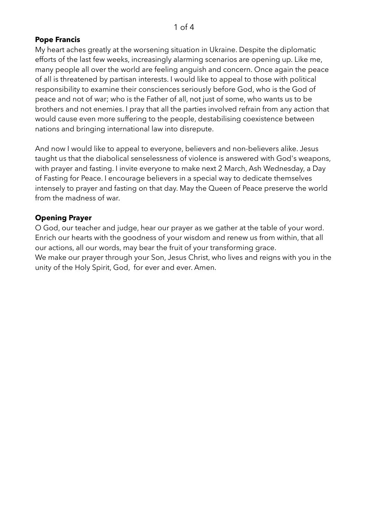# **Pope Francis**

My heart aches greatly at the worsening situation in Ukraine. Despite the diplomatic efforts of the last few weeks, increasingly alarming scenarios are opening up. Like me, many people all over the world are feeling anguish and concern. Once again the peace of all is threatened by partisan interests. I would like to appeal to those with political responsibility to examine their consciences seriously before God, who is the God of peace and not of war; who is the Father of all, not just of some, who wants us to be brothers and not enemies. I pray that all the parties involved refrain from any action that would cause even more suffering to the people, destabilising coexistence between nations and bringing international law into disrepute.

And now I would like to appeal to everyone, believers and non-believers alike. Jesus taught us that the diabolical senselessness of violence is answered with God's weapons, with prayer and fasting. I invite everyone to make next 2 March, Ash Wednesday, a Day of Fasting for Peace. I encourage believers in a special way to dedicate themselves intensely to prayer and fasting on that day. May the Queen of Peace preserve the world from the madness of war.

# **Opening Prayer**

O God, our teacher and judge, hear our prayer as we gather at the table of your word. Enrich our hearts with the goodness of your wisdom and renew us from within, that all our actions, all our words, may bear the fruit of your transforming grace. We make our prayer through your Son, Jesus Christ, who lives and reigns with you in the unity of the Holy Spirit, God, for ever and ever. Amen.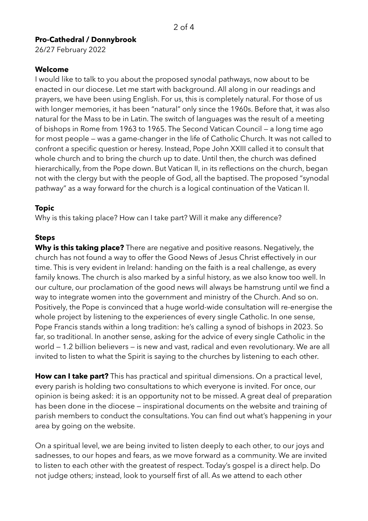# **Pro-Cathedral / Donnybrook**

26/27 February 2022

### **Welcome**

I would like to talk to you about the proposed synodal pathways, now about to be enacted in our diocese. Let me start with background. All along in our readings and prayers, we have been using English. For us, this is completely natural. For those of us with longer memories, it has been "natural" only since the 1960s. Before that, it was also natural for the Mass to be in Latin. The switch of languages was the result of a meeting of bishops in Rome from 1963 to 1965. The Second Vatican Council — a long time ago for most people — was a game-changer in the life of Catholic Church. It was not called to confront a specific question or heresy. Instead, Pope John XXIII called it to consult that whole church and to bring the church up to date. Until then, the church was defined hierarchically, from the Pope down. But Vatican II, in its reflections on the church, began not with the clergy but with the people of God, all the baptised. The proposed "synodal pathway" as a way forward for the church is a logical continuation of the Vatican II.

# **Topic**

Why is this taking place? How can I take part? Will it make any difference?

# **Steps**

**Why is this taking place?** There are negative and positive reasons. Negatively, the church has not found a way to offer the Good News of Jesus Christ effectively in our time. This is very evident in Ireland: handing on the faith is a real challenge, as every family knows. The church is also marked by a sinful history, as we also know too well. In our culture, our proclamation of the good news will always be hamstrung until we find a way to integrate women into the government and ministry of the Church. And so on. Positively, the Pope is convinced that a huge world-wide consultation will re-energise the whole project by listening to the experiences of every single Catholic. In one sense, Pope Francis stands within a long tradition: he's calling a synod of bishops in 2023. So far, so traditional. In another sense, asking for the advice of every single Catholic in the world — 1.2 billion believers — is new and vast, radical and even revolutionary. We are all invited to listen to what the Spirit is saying to the churches by listening to each other.

**How can I take part?** This has practical and spiritual dimensions. On a practical level, every parish is holding two consultations to which everyone is invited. For once, our opinion is being asked: it is an opportunity not to be missed. A great deal of preparation has been done in the diocese — inspirational documents on the website and training of parish members to conduct the consultations. You can find out what's happening in your area by going on the website.

On a spiritual level, we are being invited to listen deeply to each other, to our joys and sadnesses, to our hopes and fears, as we move forward as a community. We are invited to listen to each other with the greatest of respect. Today's gospel is a direct help. Do not judge others; instead, look to yourself first of all. As we attend to each other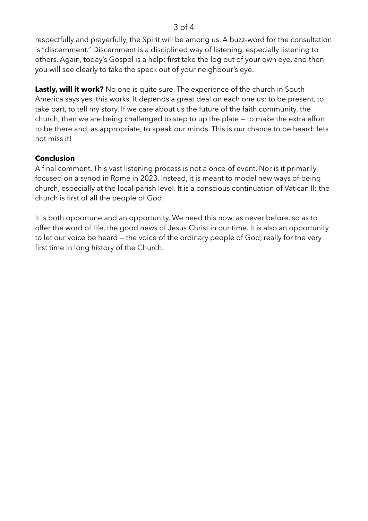#### 3 of 4

respectfully and prayerfully, the Spirit will be among us. A buzz-word for the consultation is "discernment." Discernment is a disciplined way of listening, especially listening to others. Again, today's Gospel is a help: first take the log out of your own eye, and then you will see clearly to take the speck out of your neighbour's eye.

**Lastly, will it work?** No one is quite sure. The experience of the church in South America says yes, this works. It depends a great deal on each one us: to be present, to take part, to tell my story. If we care about us the future of the faith community, the church, then we are being challenged to step to up the plate — to make the extra effort to be there and, as appropriate, to speak our minds. This is our chance to be heard: lets not miss it!

# **Conclusion**

A final comment. This vast listening process is not a once-of event. Nor is it primarily focused on a synod in Rome in 2023. Instead, it is meant to model new ways of being church, especially at the local parish level. It is a conscious continuation of Vatican II: the church is first of all the people of God.

It is both opportune and an opportunity. We need this now, as never before, so as to offer the word of life, the good news of Jesus Christ in our time. It is also an opportunity to let our voice be heard — the voice of the ordinary people of God, really for the very first time in long history of the Church.